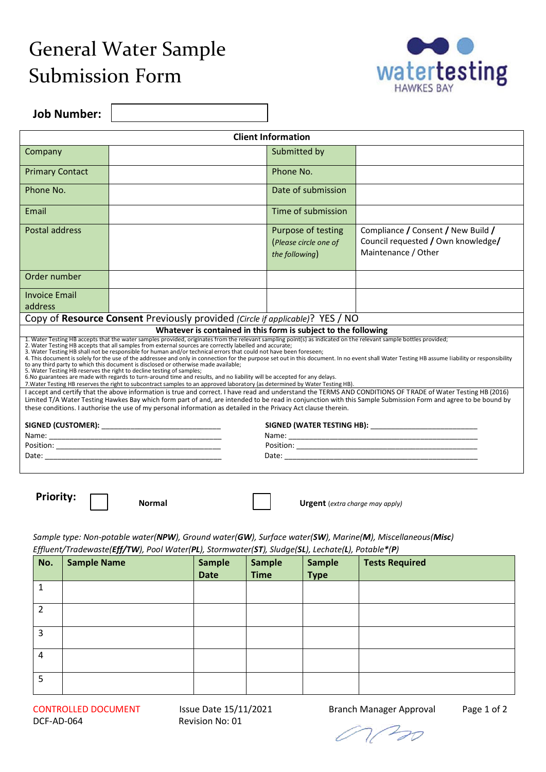## General Water Sample Submission Form



**Job Number:** 

| <b>Client Information</b>                                                                                                                                                                                                                                                                                                                                                                                                                                                                                                                                                                                                                                                                                                                                                                                                                                                                                                                                                                                                                                                                                                                                                                        |                    |                                                                                                                 |                              |                              |                                                                |                                                                                                                                                               |
|--------------------------------------------------------------------------------------------------------------------------------------------------------------------------------------------------------------------------------------------------------------------------------------------------------------------------------------------------------------------------------------------------------------------------------------------------------------------------------------------------------------------------------------------------------------------------------------------------------------------------------------------------------------------------------------------------------------------------------------------------------------------------------------------------------------------------------------------------------------------------------------------------------------------------------------------------------------------------------------------------------------------------------------------------------------------------------------------------------------------------------------------------------------------------------------------------|--------------------|-----------------------------------------------------------------------------------------------------------------|------------------------------|------------------------------|----------------------------------------------------------------|---------------------------------------------------------------------------------------------------------------------------------------------------------------|
| Company                                                                                                                                                                                                                                                                                                                                                                                                                                                                                                                                                                                                                                                                                                                                                                                                                                                                                                                                                                                                                                                                                                                                                                                          |                    |                                                                                                                 |                              | Submitted by                 |                                                                |                                                                                                                                                               |
| <b>Primary Contact</b>                                                                                                                                                                                                                                                                                                                                                                                                                                                                                                                                                                                                                                                                                                                                                                                                                                                                                                                                                                                                                                                                                                                                                                           |                    |                                                                                                                 |                              | Phone No.                    |                                                                |                                                                                                                                                               |
| Phone No.                                                                                                                                                                                                                                                                                                                                                                                                                                                                                                                                                                                                                                                                                                                                                                                                                                                                                                                                                                                                                                                                                                                                                                                        |                    |                                                                                                                 |                              |                              | Date of submission                                             |                                                                                                                                                               |
| Email                                                                                                                                                                                                                                                                                                                                                                                                                                                                                                                                                                                                                                                                                                                                                                                                                                                                                                                                                                                                                                                                                                                                                                                            |                    |                                                                                                                 |                              |                              | Time of submission                                             |                                                                                                                                                               |
| Postal address                                                                                                                                                                                                                                                                                                                                                                                                                                                                                                                                                                                                                                                                                                                                                                                                                                                                                                                                                                                                                                                                                                                                                                                   |                    |                                                                                                                 |                              | the following)               | Purpose of testing<br>(Please circle one of                    | Compliance / Consent / New Build /<br>Council requested / Own knowledge/<br>Maintenance / Other                                                               |
| Order number                                                                                                                                                                                                                                                                                                                                                                                                                                                                                                                                                                                                                                                                                                                                                                                                                                                                                                                                                                                                                                                                                                                                                                                     |                    |                                                                                                                 |                              |                              |                                                                |                                                                                                                                                               |
| <b>Invoice Email</b><br>address                                                                                                                                                                                                                                                                                                                                                                                                                                                                                                                                                                                                                                                                                                                                                                                                                                                                                                                                                                                                                                                                                                                                                                  |                    |                                                                                                                 |                              |                              |                                                                |                                                                                                                                                               |
|                                                                                                                                                                                                                                                                                                                                                                                                                                                                                                                                                                                                                                                                                                                                                                                                                                                                                                                                                                                                                                                                                                                                                                                                  |                    | Copy of Resource Consent Previously provided (Circle if applicable)? YES / NO                                   |                              |                              |                                                                |                                                                                                                                                               |
|                                                                                                                                                                                                                                                                                                                                                                                                                                                                                                                                                                                                                                                                                                                                                                                                                                                                                                                                                                                                                                                                                                                                                                                                  |                    |                                                                                                                 |                              |                              | Whatever is contained in this form is subject to the following |                                                                                                                                                               |
| 1. Water Testing HB accepts that the water samples provided, originates from the relevant sampling point(s) as indicated on the relevant sample bottles provided;<br>2. Water Testing HB accepts that all samples from external sources are correctly labelled and accurate;<br>3. Water Testing HB shall not be responsible for human and/or technical errors that could not have been foreseen;<br>4. This document is solely for the use of the addressee and only in connection for the purpose set out in this document. In no event shall Water Testing HB assume liability or responsibility<br>to any third party to which this document is disclosed or otherwise made available;<br>5. Water Testing HB reserves the right to decline testing of samples;<br>6. No guarantees are made with regards to turn-around time and results, and no liability will be accepted for any delays.<br>7. Water Testing HB reserves the right to subcontract samples to an approved laboratory (as determined by Water Testing HB).<br>I accept and certify that the above information is true and correct. I have read and understand the TERMS AND CONDITIONS OF TRADE of Water Testing HB (2016) |                    |                                                                                                                 |                              |                              |                                                                |                                                                                                                                                               |
|                                                                                                                                                                                                                                                                                                                                                                                                                                                                                                                                                                                                                                                                                                                                                                                                                                                                                                                                                                                                                                                                                                                                                                                                  |                    | these conditions. I authorise the use of my personal information as detailed in the Privacy Act clause therein. |                              |                              |                                                                | Limited T/A Water Testing Hawkes Bay which form part of and, are intended to be read in conjunction with this Sample Submission Form and agree to be bound by |
|                                                                                                                                                                                                                                                                                                                                                                                                                                                                                                                                                                                                                                                                                                                                                                                                                                                                                                                                                                                                                                                                                                                                                                                                  |                    |                                                                                                                 |                              |                              |                                                                |                                                                                                                                                               |
|                                                                                                                                                                                                                                                                                                                                                                                                                                                                                                                                                                                                                                                                                                                                                                                                                                                                                                                                                                                                                                                                                                                                                                                                  |                    |                                                                                                                 |                              |                              |                                                                |                                                                                                                                                               |
|                                                                                                                                                                                                                                                                                                                                                                                                                                                                                                                                                                                                                                                                                                                                                                                                                                                                                                                                                                                                                                                                                                                                                                                                  |                    |                                                                                                                 |                              |                              |                                                                |                                                                                                                                                               |
|                                                                                                                                                                                                                                                                                                                                                                                                                                                                                                                                                                                                                                                                                                                                                                                                                                                                                                                                                                                                                                                                                                                                                                                                  |                    |                                                                                                                 |                              |                              |                                                                |                                                                                                                                                               |
| <b>Priority:</b><br><b>Normal</b><br><b>Urgent</b> (extra charge may apply)                                                                                                                                                                                                                                                                                                                                                                                                                                                                                                                                                                                                                                                                                                                                                                                                                                                                                                                                                                                                                                                                                                                      |                    |                                                                                                                 |                              |                              |                                                                |                                                                                                                                                               |
|                                                                                                                                                                                                                                                                                                                                                                                                                                                                                                                                                                                                                                                                                                                                                                                                                                                                                                                                                                                                                                                                                                                                                                                                  |                    |                                                                                                                 |                              |                              |                                                                |                                                                                                                                                               |
| Sample type: Non-potable water(NPW), Ground water(GW), Surface water(SW), Marine(M), Miscellaneous(Misc)<br>Effluent/Tradewaste(Eff/TW), Pool Water(PL), Stormwater(ST), Sludge(SL), Lechate(L), Potable*(P)                                                                                                                                                                                                                                                                                                                                                                                                                                                                                                                                                                                                                                                                                                                                                                                                                                                                                                                                                                                     |                    |                                                                                                                 |                              |                              |                                                                |                                                                                                                                                               |
| No.                                                                                                                                                                                                                                                                                                                                                                                                                                                                                                                                                                                                                                                                                                                                                                                                                                                                                                                                                                                                                                                                                                                                                                                              | <b>Sample Name</b> |                                                                                                                 | <b>Sample</b><br><b>Date</b> | <b>Sample</b><br><b>Time</b> | <b>Sample</b><br><b>Type</b>                                   | <b>Tests Required</b>                                                                                                                                         |
| $\mathbf{1}$                                                                                                                                                                                                                                                                                                                                                                                                                                                                                                                                                                                                                                                                                                                                                                                                                                                                                                                                                                                                                                                                                                                                                                                     |                    |                                                                                                                 |                              |                              |                                                                |                                                                                                                                                               |
| $\overline{2}$                                                                                                                                                                                                                                                                                                                                                                                                                                                                                                                                                                                                                                                                                                                                                                                                                                                                                                                                                                                                                                                                                                                                                                                   |                    |                                                                                                                 |                              |                              |                                                                |                                                                                                                                                               |
| 3                                                                                                                                                                                                                                                                                                                                                                                                                                                                                                                                                                                                                                                                                                                                                                                                                                                                                                                                                                                                                                                                                                                                                                                                |                    |                                                                                                                 |                              |                              |                                                                |                                                                                                                                                               |
| 4                                                                                                                                                                                                                                                                                                                                                                                                                                                                                                                                                                                                                                                                                                                                                                                                                                                                                                                                                                                                                                                                                                                                                                                                |                    |                                                                                                                 |                              |                              |                                                                |                                                                                                                                                               |
|                                                                                                                                                                                                                                                                                                                                                                                                                                                                                                                                                                                                                                                                                                                                                                                                                                                                                                                                                                                                                                                                                                                                                                                                  |                    |                                                                                                                 |                              |                              |                                                                |                                                                                                                                                               |

CONTROLLED DOCUMENT Issue Date 15/11/2021 Branch Manager Approval Page 1 of 2 DCF-AD-064 Revision No: 01

5

01/20